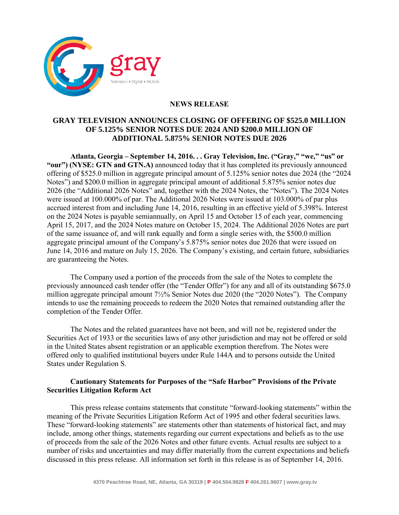

## **NEWS RELEASE**

## **GRAY TELEVISION ANNOUNCES CLOSING OF OFFERING OF \$525.0 MILLION OF 5.125% SENIOR NOTES DUE 2024 AND \$200.0 MILLION OF ADDITIONAL 5.875% SENIOR NOTES DUE 2026**

**Atlanta, Georgia – September 14, 2016. . . Gray Television, Inc. ("Gray," "we," "us" or "our") (NYSE: GTN and GTN.A)** announced today that it has completed its previously announced offering of \$525.0 million in aggregate principal amount of 5.125% senior notes due 2024 (the "2024 Notes") and \$200.0 million in aggregate principal amount of additional 5.875% senior notes due 2026 (the "Additional 2026 Notes" and, together with the 2024 Notes, the "Notes"). The 2024 Notes were issued at 100.000% of par. The Additional 2026 Notes were issued at 103.000% of par plus accrued interest from and including June 14, 2016, resulting in an effective yield of 5.398%. Interest on the 2024 Notes is payable semiannually, on April 15 and October 15 of each year, commencing April 15, 2017, and the 2024 Notes mature on October 15, 2024. The Additional 2026 Notes are part of the same issuance of, and will rank equally and form a single series with, the \$500.0 million aggregate principal amount of the Company's 5.875% senior notes due 2026 that were issued on June 14, 2016 and mature on July 15, 2026. The Company's existing, and certain future, subsidiaries are guaranteeing the Notes.

The Company used a portion of the proceeds from the sale of the Notes to complete the previously announced cash tender offer (the "Tender Offer") for any and all of its outstanding \$675.0 million aggregate principal amount 7½% Senior Notes due 2020 (the "2020 Notes"). The Company intends to use the remaining proceeds to redeem the 2020 Notes that remained outstanding after the completion of the Tender Offer.

The Notes and the related guarantees have not been, and will not be, registered under the Securities Act of 1933 or the securities laws of any other jurisdiction and may not be offered or sold in the United States absent registration or an applicable exemption therefrom. The Notes were offered only to qualified institutional buyers under Rule 144A and to persons outside the United States under Regulation S.

## **Cautionary Statements for Purposes of the "Safe Harbor" Provisions of the Private Securities Litigation Reform Act**

This press release contains statements that constitute "forward-looking statements" within the meaning of the Private Securities Litigation Reform Act of 1995 and other federal securities laws. These "forward-looking statements" are statements other than statements of historical fact, and may include, among other things, statements regarding our current expectations and beliefs as to the use of proceeds from the sale of the 2026 Notes and other future events. Actual results are subject to a number of risks and uncertainties and may differ materially from the current expectations and beliefs discussed in this press release. All information set forth in this release is as of September 14, 2016.